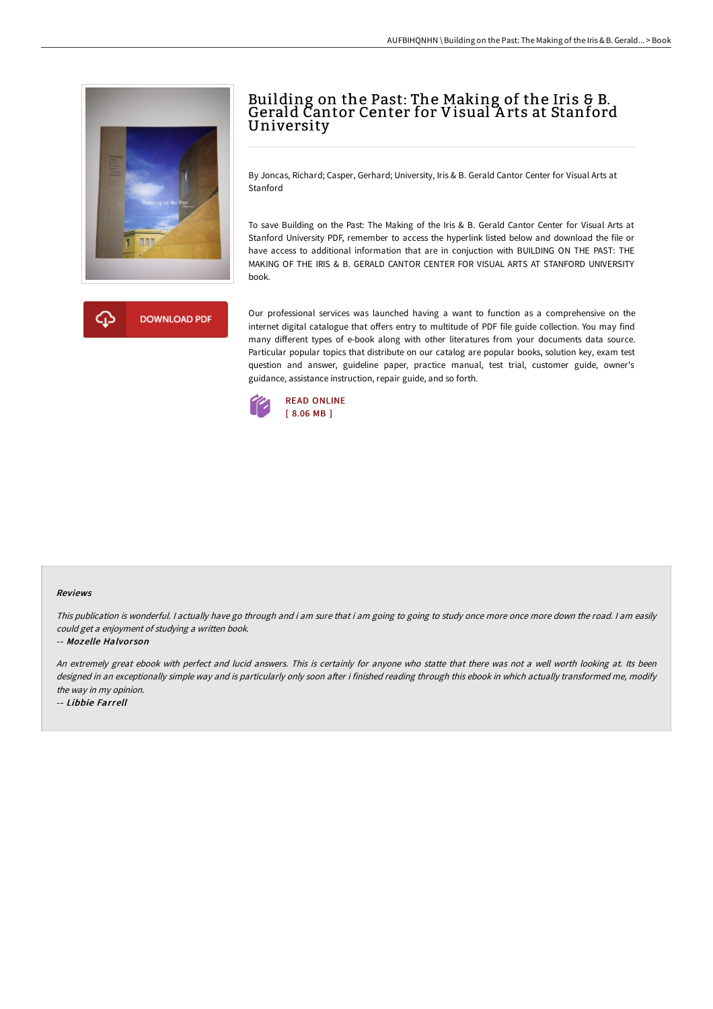

# Building on the Past: The Making of the Iris & B. Gerald Cantor Center for Visual <sup>A</sup> rts at Stanford University

By Joncas, Richard; Casper, Gerhard; University, Iris & B. Gerald Cantor Center for Visual Arts at Stanford

To save Building on the Past: The Making of the Iris & B. Gerald Cantor Center for Visual Arts at Stanford University PDF, remember to access the hyperlink listed below and download the file or have access to additional information that are in conjuction with BUILDING ON THE PAST: THE MAKING OF THE IRIS & B. GERALD CANTOR CENTER FOR VISUAL ARTS AT STANFORD UNIVERSITY book.



Our professional services was launched having a want to function as a comprehensive on the internet digital catalogue that offers entry to multitude of PDF file guide collection. You may find many different types of e-book along with other literatures from your documents data source. Particular popular topics that distribute on our catalog are popular books, solution key, exam test question and answer, guideline paper, practice manual, test trial, customer guide, owner's guidance, assistance instruction, repair guide, and so forth.



#### Reviews

This publication is wonderful. <sup>I</sup> actually have go through and i am sure that i am going to going to study once more once more down the road. <sup>I</sup> am easily could get <sup>a</sup> enjoyment of studying <sup>a</sup> written book.

#### -- Mozelle Halvor son

An extremely great ebook with perfect and lucid answers. This is certainly for anyone who statte that there was not <sup>a</sup> well worth looking at. Its been designed in an exceptionally simple way and is particularly only soon after i finished reading through this ebook in which actually transformed me, modify the way in my opinion.

-- Libbie Farrell